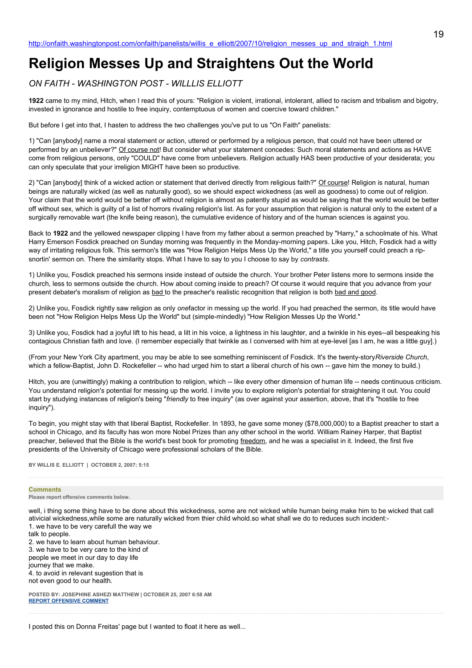# **Religion Messes Up and Straightens Out the World**

# *ON FAITH - WASHINGTON POST - WILLLIS ELLIOTT*

**1922** came to my mind, Hitch, when I read this of yours: "Religion is violent, irrational, intolerant, allied to racism and tribalism and bigotry, invested in ignorance and hostile to free inquiry, contemptuous of women and coercive toward children."

But before I get into that, I hasten to address the two challenges you've put to us "On Faith" panelists:

1) "Can [anybody] name a moral statement or action, uttered or performed by a religious person, that could not have been uttered or performed by an unbeliever?" Of course not! But consider what your statement concedes: Such moral statements and actions as HAVE come from religious persons, only "COULD" have come from unbelievers. Religion actually HAS been productive of your desiderata; you can only speculate that your irreligion MIGHT have been so productive.

2) "Can [anybody] think of a wicked action or statement that derived directly from religious faith?" Of course! Religion is natural, human beings are naturally wicked (as well as naturally good), so we should expect wickedness (as well as goodness) to come out of religion. Your claim that the world would be better off without religion is almost as patently stupid as would be saying that the world would be better off without sex, which is guilty of a list of horrors rivaling religion's list. As for your assumption that religion is natural only to the extent of a surgically removable wart (the knife being reason), the cumulative evidence of history and of the human sciences is against you.

Back to **1922** and the yellowed newspaper clipping I have from my father about a sermon preached by "Harry," a schoolmate of his. What Harry Emerson Fosdick preached on Sunday morning was frequently in the Monday-morning papers. Like you, Hitch, Fosdick had a witty way of irritating religious folk. This sermon's title was "How Religion Helps Mess Up the World," a title you yourself could preach a ripsnortin' sermon on. There the similarity stops. What I have to say to you I choose to say by *contrasts*.

1) Unlike you, Fosdick preached his sermons inside instead of outside the church. Your brother Peter listens more to sermons inside the church, less to sermons outside the church. How about coming inside to preach? Of course it would require that you advance from your present debater's moralism of religion as bad to the preacher's realistic recognition that religion is both bad and good.

2) Unlike you, Fosdick rightly saw religion as only *one*factor in messing up the world. If you had preached the sermon, its title would have been not "How Religion Helps Mess Up the World" but (simple-mindedly) "How Religion Messes Up the World."

3) Unlike you, Fosdick had a joyful lift to his head, a lilt in his voice, a lightness in his laughter, and a twinkle in his eyes--all bespeaking his contagious Christian faith and love. (I remember especially that twinkle as I conversed with him at eye-level [as I am, he was a little guy].)

(From your New York City apartment, you may be able to see something reminiscent of Fosdick. It's the twenty-story*Riverside Church*, which a fellow-Baptist, John D. Rockefeller -- who had urged him to start a liberal church of his own -- gave him the money to build.)

Hitch, you are (unwittingly) making a contribution to religion, which -- like every other dimension of human life -- needs continuous criticism. You understand religion's potential for messing up the world. I invite you to explore religion's potential for straightening it out. You could start by studying instances of religion's being "*friendly* to free inquiry" (as over against your assertion, above, that it's "hostile to free inquiry").

To begin, you might stay with that liberal Baptist, Rockefeller. In 1893, he gave some money (\$78,000,000) to a Baptist preacher to start a school in Chicago, and its faculty has won more Nobel Prizes than any other school in the world. William Rainey Harper, that Baptist preacher, believed that the Bible is the world's best book for promoting freedom, and he was a specialist in it. Indeed, the first five presidents of the University of Chicago were professional scholars of the Bible.

**BY WILLIS E. ELLIOTT | OCTOBER 2, 2007; 5:15** 

#### **Comments**

**Please report offensive comments below.**

well, i thing some thing have to be done about this wickedness, some are not wicked while human being make him to be wicked that call ativicial wickedness,while some are naturally wicked from thier child whold.so what shall we do to reduces such incident:- 1. we have to be very carefull the way we

talk to people. 2. we have to learn about human behaviour. 3. we have to be very care to the kind of people we meet in our day to day life journey that we make. 4. to avoid in relevant sugestion that is not even good to our health.

**POSTED BY: JOSEPHINE ASHEZI MATTHEW | OCTOBER 25, 2007 6:58 AM [REPORT OFFENSIVE COMMENT](mailto:blogs@washingtonpost.com?subject=On%20Faith%20Panelists%20Blog%20%20%7C%20%20josephine%20ashezi%20matthew%20%20%7C%20%20Religion%20Messes%20Up%20and%20Straightens%20Out%20the%20World%20%20%7C%20%201561793&body=%0D%0D%0D%0D%0D================%0D?__mode=view%26_type=comment%26id=1561793%26blog_id=618)**

I posted this on Donna Freitas' page but I wanted to float it here as well...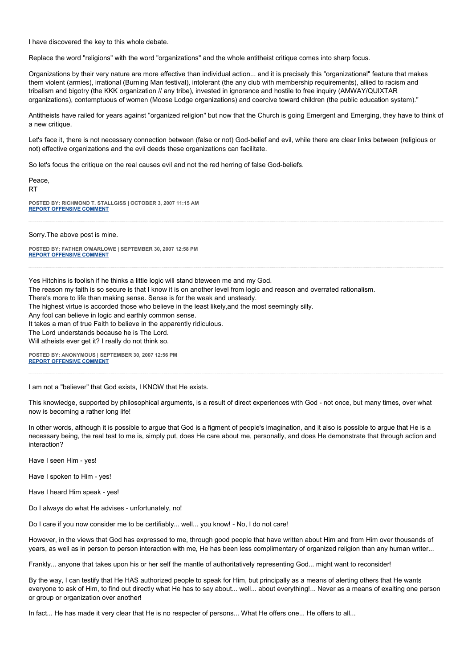I have discovered the key to this whole debate.

Replace the word "religions" with the word "organizations" and the whole antitheist critique comes into sharp focus.

Organizations by their very nature are more effective than individual action... and it is precisely this "organizational" feature that makes them violent (armies), irrational (Burning Man festival), intolerant (the any club with membership requirements), allied to racism and tribalism and bigotry (the KKK organization // any tribe), invested in ignorance and hostile to free inquiry (AMWAY/QUIXTAR organizations), contemptuous of women (Moose Lodge organizations) and coercive toward children (the public education system)."

Antitheists have railed for years against "organized religion" but now that the Church is going Emergent and Emerging, they have to think of a new critique.

Let's face it, there is not necessary connection between (false or not) God-belief and evil, while there are clear links between (religious or not) effective organizations and the evil deeds these organizations can facilitate.

So let's focus the critique on the real causes evil and not the red herring of false God-beliefs.

Peace, RT **POSTED BY: RICHMOND T. STALLGISS | OCTOBER 3, 2007 11:15 AM [REPORT OFFENSIVE COMMENT](mailto:blogs@washingtonpost.com?subject=On%20Faith%20Panelists%20Blog%20%20%7C%20%20Richmond%20T.%20Stallgiss%20%20%7C%20%20Religion%20Messes%20Up%20and%20Straightens%20Out%20the%20World%20%20%7C%20%201464858&body=%0D%0D%0D%0D%0D================%0D?__mode=view%26_type=comment%26id=1464858%26blog_id=618)**

Sorry.The above post is mine.

**POSTED BY: FATHER O'MARLOWE | SEPTEMBER 30, 2007 12:58 PM [REPORT OFFENSIVE COMMENT](mailto:blogs@washingtonpost.com?subject=On%20Faith%20Panelists%20Blog%20%20%7C%20%20Father%20O)**

Yes Hitchins is foolish if he thinks a little logic will stand bteween me and my God.

The reason my faith is so secure is that I know it is on another level from logic and reason and overrated rationalism.

There's more to life than making sense. Sense is for the weak and unsteady.

The highest virtue is accorded those who believe in the least likely,and the most seemingly silly.

Any fool can believe in logic and earthly common sense.

It takes a man of true Faith to believe in the apparently ridiculous.

The Lord understands because he is The Lord.

Will atheists ever get it? I really do not think so.

**POSTED BY: ANONYMOUS | SEPTEMBER 30, 2007 12:56 PM [REPORT OFFENSIVE COMMENT](mailto:blogs@washingtonpost.com?subject=On%20Faith%20Panelists%20Blog%20%20%7C%20%20Anonymous%20%20%7C%20%20Religion%20Messes%20Up%20and%20Straightens%20Out%20the%20World%20%20%7C%20%201454266&body=%0D%0D%0D%0D%0D================%0D?__mode=view%26_type=comment%26id=1454266%26blog_id=618)**

I am not a "believer" that God exists, I KNOW that He exists.

This knowledge, supported by philosophical arguments, is a result of direct experiences with God - not once, but many times, over what now is becoming a rather long life!

In other words, although it is possible to argue that God is a figment of people's imagination, and it also is possible to argue that He is a necessary being, the real test to me is, simply put, does He care about me, personally, and does He demonstrate that through action and interaction?

Have I seen Him - yes!

Have I spoken to Him - yes!

Have I heard Him speak - yes!

Do I always do what He advises - unfortunately, no!

Do I care if you now consider me to be certifiably... well... you know! - No, I do not care!

However, in the views that God has expressed to me, through good people that have written about Him and from Him over thousands of years, as well as in person to person interaction with me, He has been less complimentary of organized religion than any human writer...

Frankly... anyone that takes upon his or her self the mantle of authoritatively representing God... might want to reconsider!

By the way, I can testify that He HAS authorized people to speak for Him, but principally as a means of alerting others that He wants everyone to ask of Him, to find out directly what He has to say about... well... about everything!... Never as a means of exalting one person or group or organization over another!

In fact... He has made it very clear that He is no respecter of persons... What He offers one... He offers to all...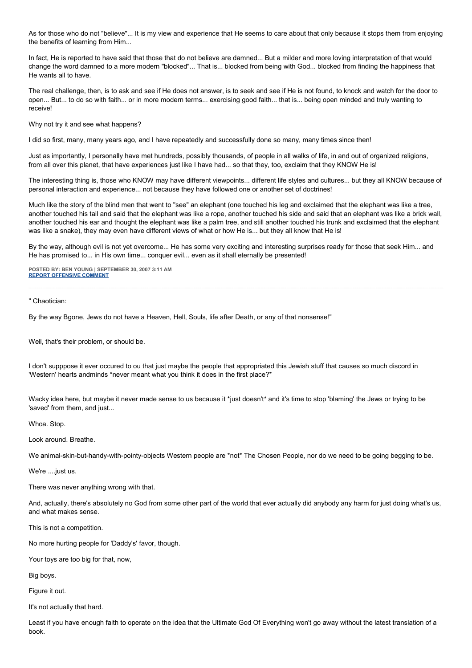As for those who do not "believe"... It is my view and experience that He seems to care about that only because it stops them from enjoying the benefits of learning from Him...

In fact, He is reported to have said that those that do not believe are damned... But a milder and more loving interpretation of that would change the word damned to a more modern "blocked"... That is... blocked from being with God... blocked from finding the happiness that He wants all to have.

The real challenge, then, is to ask and see if He does not answer, is to seek and see if He is not found, to knock and watch for the door to open... But... to do so with faith... or in more modern terms... exercising good faith... that is... being open minded and truly wanting to receive!

Why not try it and see what happens?

I did so first, many, many years ago, and I have repeatedly and successfully done so many, many times since then!

Just as importantly, I personally have met hundreds, possibly thousands, of people in all walks of life, in and out of organized religions, from all over this planet, that have experiences just like I have had... so that they, too, exclaim that they KNOW He is!

The interesting thing is, those who KNOW may have different viewpoints... different life styles and cultures... but they all KNOW because of personal interaction and experience... not because they have followed one or another set of doctrines!

Much like the story of the blind men that went to "see" an elephant (one touched his leg and exclaimed that the elephant was like a tree, another touched his tail and said that the elephant was like a rope, another touched his side and said that an elephant was like a brick wall, another touched his ear and thought the elephant was like a palm tree, and still another touched his trunk and exclaimed that the elephant was like a snake), they may even have different views of what or how He is... but they all know that He is!

By the way, although evil is not yet overcome... He has some very exciting and interesting surprises ready for those that seek Him... and He has promised to... in His own time... conquer evil... even as it shall eternally be presented!

**POSTED BY: BEN YOUNG | SEPTEMBER 30, 2007 3:11 AM [REPORT OFFENSIVE COMMENT](mailto:blogs@washingtonpost.com?subject=On%20Faith%20Panelists%20Blog%20%20%7C%20%20Ben%20Young%20%20%7C%20%20Religion%20Messes%20Up%20and%20Straightens%20Out%20the%20World%20%20%7C%20%201452942&body=%0D%0D%0D%0D%0D================%0D?__mode=view%26_type=comment%26id=1452942%26blog_id=618)**

" Chaotician:

By the way Bgone, Jews do not have a Heaven, Hell, Souls, life after Death, or any of that nonsense!"

Well, that's their problem, or should be.

I don't supppose it ever occured to ou that just maybe the people that appropriated this Jewish stuff that causes so much discord in 'Western' hearts andminds \*never meant what you think it does in the first place?\*

Wacky idea here, but maybe it never made sense to us because it \*just doesn't\* and it's time to stop 'blaming' the Jews or trying to be 'saved' from them, and just...

Whoa. Stop.

Look around. Breathe.

We animal-skin-but-handy-with-pointy-objects Western people are \*not\* The Chosen People, nor do we need to be going begging to be.

We're ....just us.

There was never anything wrong with that.

And, actually, there's absolutely no God from some other part of the world that ever actually did anybody any harm for just doing what's us, and what makes sense.

This is not a competition.

No more hurting people for 'Daddy's' favor, though.

Your toys are too big for that, now,

Big boys.

Figure it out.

It's not actually that hard.

Least if you have enough faith to operate on the idea that the Ultimate God Of Everything won't go away without the latest translation of a book.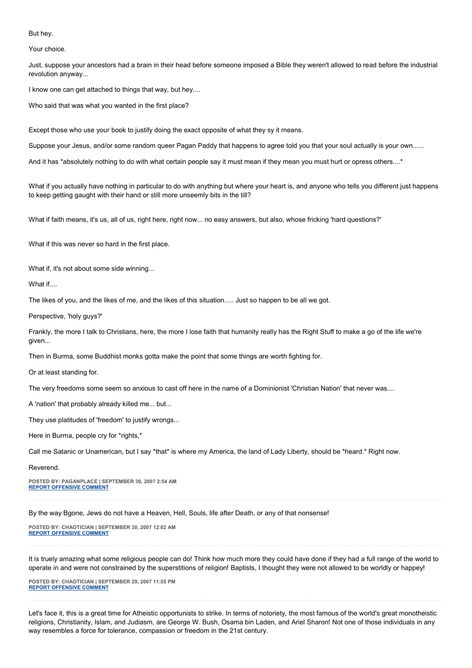## But hey.

Your choice.

Just, suppose your ancestors had a brain in their head before someone imposed a Bible they weren't allowed to read before the industrial revolution anyway...

I know one can get attached to things that way, but hey....

Who said that was what you wanted in the first place?

Except those who use your book to justify doing the exact opposite of what they sy it means.

Suppose your Jesus, and/or some random queer Pagan Paddy that happens to agree told you that your soul actually is your own......

And it has \*absolutely nothing to do with what certain people say it must mean if they mean you must hurt or opress others....\*

What if you actually have nothing in particular to do with anything but where your heart is, and anyone who tells you different just happens to keep getting gaught with their hand or still more unseemly bits in the till?

What if faith means, it's us, all of us, right here, right now... no easy answers, but also, whose fricking 'hard questions?'

What if this was never so hard in the first place.

What if, it's not about some side winning...

What if

The likes of you, and the likes of me, and the likes of this situation..... Just so happen to be all we got.

Perspective, 'holy guys?'

Frankly, the more I talk to Christians, here, the more I lose faith that humanity really has the Right Stuff to make a go of the life we're given...

Then in Burma, some Buddhist monks gotta make the point that some things are worth fighting for.

Or at least standing for.

The very freedoms some seem so anxious to cast off here in the name of a Dominionist 'Christian Nation' that never was....

A 'nation' that probably already killed me... but...

They use platitudes of 'freedom' to justify wrongs...

Here in Burma, people cry for \*rights,\*

Call me Satanic or Unamerican, but I say \*that\* is where my America, the land of Lady Liberty, should be \*heard.\* Right now.

#### Reverend.

**POSTED BY: PAGANPLACE | SEPTEMBER 30, 2007 2:54 AM [REPORT OFFENSIVE COMMENT](mailto:blogs@washingtonpost.com?subject=On%20Faith%20Panelists%20Blog%20%20%7C%20%20Paganplace%20%20%7C%20%20Religion%20Messes%20Up%20and%20Straightens%20Out%20the%20World%20%20%7C%20%201452890&body=%0D%0D%0D%0D%0D================%0D?__mode=view%26_type=comment%26id=1452890%26blog_id=618)**

By the way Bgone, Jews do not have a Heaven, Hell, Souls, life after Death, or any of that nonsense!

**POSTED BY: CHAOTICIAN | SEPTEMBER 30, 2007 12:02 AM [REPORT OFFENSIVE COMMENT](mailto:blogs@washingtonpost.com?subject=On%20Faith%20Panelists%20Blog%20%20%7C%20%20Chaotician%20%20%7C%20%20Religion%20Messes%20Up%20and%20Straightens%20Out%20the%20World%20%20%7C%20%201452517&body=%0D%0D%0D%0D%0D================%0D?__mode=view%26_type=comment%26id=1452517%26blog_id=618)**

It is truely amazing what some religious people can do! Think how much more they could have done if they had a full range of the world to operate in and were not constrained by the superstitions of religion! Baptists, I thought they were not allowed to be worldly or happey!

**POSTED BY: CHAOTICIAN | SEPTEMBER 29, 2007 11:55 PM [REPORT OFFENSIVE COMMENT](mailto:blogs@washingtonpost.com?subject=On%20Faith%20Panelists%20Blog%20%20%7C%20%20Chaotician%20%20%7C%20%20Religion%20Messes%20Up%20and%20Straightens%20Out%20the%20World%20%20%7C%20%201452493&body=%0D%0D%0D%0D%0D================%0D?__mode=view%26_type=comment%26id=1452493%26blog_id=618)**

Let's face it, this is a great time for Atheistic opportunists to strike. In terms of notoriety, the most famous of the world's great monotheistic religions, Christianity, Islam, and Judiasm, are George W. Bush, Osama bin Laden, and Ariel Sharon! Not one of those individuals in any way resembles a force for tolerance, compassion or freedom in the 21st century.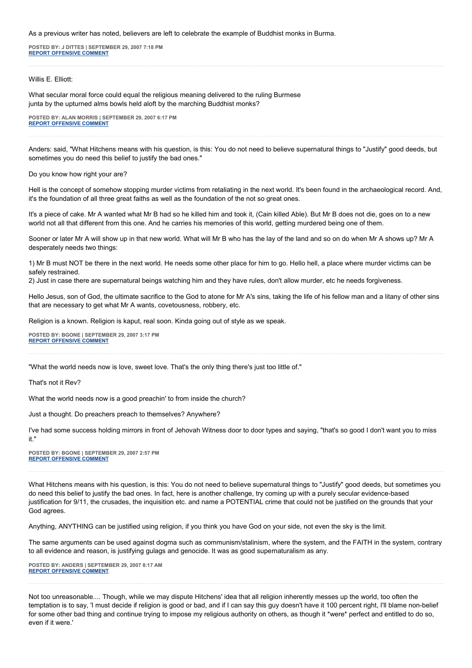As a previous writer has noted, believers are left to celebrate the example of Buddhist monks in Burma.

**POSTED BY: J DITTES | SEPTEMBER 29, 2007 7:18 PM [REPORT OFFENSIVE COMMENT](mailto:blogs@washingtonpost.com?subject=On%20Faith%20Panelists%20Blog%20%20%7C%20%20J%20Dittes%20%20%7C%20%20Religion%20Messes%20Up%20and%20Straightens%20Out%20the%20World%20%20%7C%20%201451870&body=%0D%0D%0D%0D%0D================%0D?__mode=view%26_type=comment%26id=1451870%26blog_id=618)**

Willis E. Elliott:

What secular moral force could equal the religious meaning delivered to the ruling Burmese junta by the upturned alms bowls held aloft by the marching Buddhist monks?

**POSTED BY: ALAN MORRIS | SEPTEMBER 29, 2007 6:17 PM [REPORT OFFENSIVE COMMENT](mailto:blogs@washingtonpost.com?subject=On%20Faith%20Panelists%20Blog%20%20%7C%20%20Alan%20Morris%20%20%7C%20%20Religion%20Messes%20Up%20and%20Straightens%20Out%20the%20World%20%20%7C%20%201451760&body=%0D%0D%0D%0D%0D================%0D?__mode=view%26_type=comment%26id=1451760%26blog_id=618)**

Anders: said, "What Hitchens means with his question, is this: You do not need to believe supernatural things to "Justify" good deeds, but sometimes you do need this belief to justify the bad ones."

Do you know how right your are?

Hell is the concept of somehow stopping murder victims from retaliating in the next world. It's been found in the archaeological record. And, it's the foundation of all three great faiths as well as the foundation of the not so great ones.

It's a piece of cake. Mr A wanted what Mr B had so he killed him and took it, (Cain killed Able). But Mr B does not die, goes on to a new world not all that different from this one. And he carries his memories of this world, getting murdered being one of them.

Sooner or later Mr A will show up in that new world. What will Mr B who has the lay of the land and so on do when Mr A shows up? Mr A desperately needs two things:

1) Mr B must NOT be there in the next world. He needs some other place for him to go. Hello hell, a place where murder victims can be safely restrained.

2) Just in case there are supernatural beings watching him and they have rules, don't allow murder, etc he needs forgiveness.

Hello Jesus, son of God, the ultimate sacrifice to the God to atone for Mr A's sins, taking the life of his fellow man and a litany of other sins that are necessary to get what Mr A wants, covetousness, robbery, etc.

Religion is a known. Religion is kaput, real soon. Kinda going out of style as we speak.

**POSTED BY: BGONE | SEPTEMBER 29, 2007 3:17 PM [REPORT OFFENSIVE COMMENT](mailto:blogs@washingtonpost.com?subject=On%20Faith%20Panelists%20Blog%20%20%7C%20%20BGone%20%20%7C%20%20Religion%20Messes%20Up%20and%20Straightens%20Out%20the%20World%20%20%7C%20%201451372&body=%0D%0D%0D%0D%0D================%0D?__mode=view%26_type=comment%26id=1451372%26blog_id=618)**

"What the world needs now is love, sweet love. That's the only thing there's just too little of."

That's not it Rev?

What the world needs now is a good preachin' to from inside the church?

Just a thought. Do preachers preach to themselves? Anywhere?

I've had some success holding mirrors in front of Jehovah Witness door to door types and saying, "that's so good I don't want you to miss it."

**POSTED BY: BGONE | SEPTEMBER 29, 2007 2:57 PM [REPORT OFFENSIVE COMMENT](mailto:blogs@washingtonpost.com?subject=On%20Faith%20Panelists%20Blog%20%20%7C%20%20BGone%20%20%7C%20%20Religion%20Messes%20Up%20and%20Straightens%20Out%20the%20World%20%20%7C%20%201451305&body=%0D%0D%0D%0D%0D================%0D?__mode=view%26_type=comment%26id=1451305%26blog_id=618)**

What Hitchens means with his question, is this: You do not need to believe supernatural things to "Justify" good deeds, but sometimes you do need this belief to justify the bad ones. In fact, here is another challenge, try coming up with a purely secular evidence-based justification for 9/11, the crusades, the inquisition etc. and name a POTENTIAL crime that could not be justified on the grounds that your God agrees.

Anything, ANYTHING can be justified using religion, if you think you have God on your side, not even the sky is the limit.

The same arguments can be used against dogma such as communism/stalinism, where the system, and the FAITH in the system, contrary to all evidence and reason, is justifying gulags and genocide. It was as good supernaturalism as any.

**POSTED BY: ANDERS | SEPTEMBER 29, 2007 8:17 AM [REPORT OFFENSIVE COMMENT](mailto:blogs@washingtonpost.com?subject=On%20Faith%20Panelists%20Blog%20%20%7C%20%20Anders%20%20%7C%20%20Religion%20Messes%20Up%20and%20Straightens%20Out%20the%20World%20%20%7C%20%201450350&body=%0D%0D%0D%0D%0D================%0D?__mode=view%26_type=comment%26id=1450350%26blog_id=618)**

Not too unreasonable.... Though, while we may dispute Hitchens' idea that all religion inherently messes up the world, too often the temptation is to say, 'I must decide if religion is good or bad, and if I can say this guy doesn't have it 100 percent right, I'll blame non-belief for some other bad thing and continue trying to impose my religious authority on others, as though it \*were\* perfect and entitled to do so, even if it were.'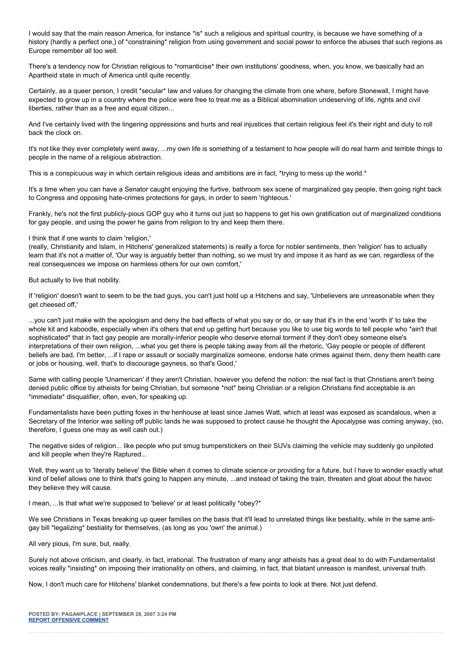I would say that the main reason America, for instance \*is\* such a religious and spiritual country, is because we have something of a history (hardly a perfect one,) of \*constraining\* religion from using government and social power to enforce the abuses that such regions as Europe remember all too well.

There's a tendency now for Christian religious to \*romanticise\* their own institutions' goodness, when, you know, we basically had an Apartheid state in much of America until quite recently.

Certainly, as a queer person, I credit \*secular\* law and values for changing the climate from one where, before Stonewall, I might have expected to grow up in a country where the police were free to treat me as a Biblical abomination undeserving of life, rights and civil liberties, rather than as a free and equal citizen...

And I've certainly lived with the lingering oppressions and hurts and real injustices that certain religious feel it's their right and duty to roll back the clock on.

It's not like they ever completely went away, ...my own life is something of a testament to how people will do real harm and terrible things to people in the name of a religious abstraction.

This is a conspicuous way in which certain religious ideas and ambitions are in fact, \*trying to mess up the world.\*

It's a time when you can have a Senator caught enjoying the furtive, bathroom sex scene of marginalized gay people, then going right back to Congress and opposing hate-crimes protections for gays, in order to seem 'righteous.'

Frankly, he's not the first publicly-pious GOP guy who it turns out just so happens to get his own gratification out of marginalized conditions for gay people, and using the power he gains from religion to try and keep them there.

## I think that if one wants to claim 'religion,'

(really, Christianity and Islam, in Hitchens' generalized statements) is really a force for nobler sentiments, then 'religion' has to actually learn that it's not a matter of, 'Our way is arguably better than nothing, so we must try and impose it as hard as we can, regardless of the real consequences we impose on harmless others for our own comfort,'

But actually to live that nobility.

If 'religion' doesn't want to seem to be the bad guys, you can't just hold up a Hitchens and say, 'Unbelievers are unreasonable when they get cheesed off,'

...you can't just make with the apologism and deny the bad effects of what you say or do, or say that it's in the end 'worth it' to take the whole kit and kaboodle, especially when it's others that end up getting hurt because you like to use big words to tell people who \*ain't that sophisticated\* that in fact gay people are morally-inferior people who deserve eternal torment if they don't obey someone else's interpretations of their own religion, ...what you get there is people taking away from all the rhetoric, 'Gay people or people of different beliefs are bad, I'm better, ...if I rape or assault or socially marginalize someone, endorse hate crimes against them, deny them health care or jobs or housing, well, that's to discourage gayness, so that's Good,'

Same with calling people 'Unamerican' if they aren't Christian, however you defend the notion: the real fact is that Christians aren't being denied public office by atheists for being Christian, but someone \*not\* being Christian or a religion Christians find acceptable is an \*immediate\* disqualifier, often, even, for speaking up.

Fundamentalists have been putting foxes in the henhouse at least since James Watt, which at least was exposed as scandalous, when a Secretary of the Interior was selling off public lands he was supposed to protect cause he thought the Apocalypse was coming anyway, (so, therefore, I guess one may as well cash out.)

The negative sides of religion... like people who put smug bumperstickers on their SUVs claiming the vehicle may suddenly go unpiloted and kill people when they're Raptured...

Well, they want us to 'literally believe' the Bible when it comes to climate science or providing for a future, but I have to wonder exactly what kind of belief allows one to think that's going to happen any minute, ...and instead of taking the train, threaten and gloat about the havoc they believe they will cause.

I mean, ...Is that what we're supposed to 'believe' or at least politically \*obey?\*

We see Christians in Texas breaking up queer families on the basis that it'll lead to unrelated things like bestiality, while in the same antigay bill \*legalizing\* bestiality for themselves, (as long as you 'own' the animal.)

All very pious, I'm sure, but, really.

Surely not above criticism, and clearly, in fact, irrational. The frustration of many angr atheists has a great deal to do with Fundamentalist voices really \*insisting\* on imposing their irrationality on others, and claiming, in fact, that blatant unreason is manifest, universal truth.

Now, I don't much care for Hitchens' blanket condemnations, but there's a few points to look at there. Not just defend.